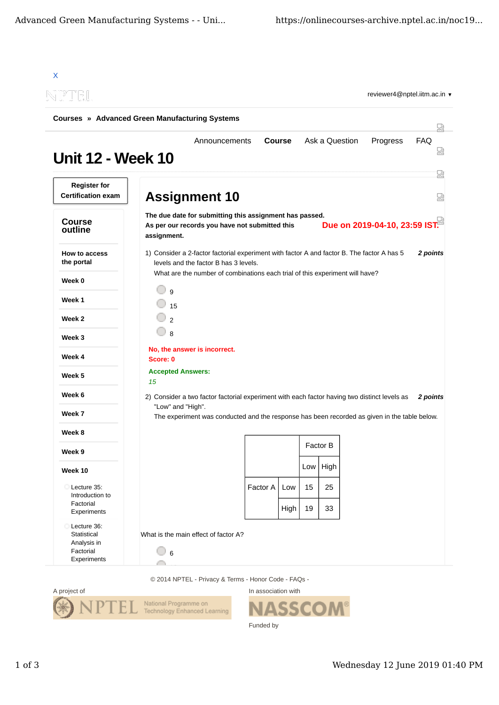| N PTEL                                                                |                    |                                                                                                                                     |               |      |     |                | reviewer4@nptel.iitm.ac.in ▼  |            |
|-----------------------------------------------------------------------|--------------------|-------------------------------------------------------------------------------------------------------------------------------------|---------------|------|-----|----------------|-------------------------------|------------|
| <b>Courses » Advanced Green Manufacturing Systems</b>                 |                    |                                                                                                                                     |               |      |     |                |                               |            |
| <b>Unit 12 - Week 10</b>                                              |                    | Announcements                                                                                                                       | <b>Course</b> |      |     | Ask a Question | Progress                      | <b>FAQ</b> |
| <b>Register for</b><br><b>Certification exam</b>                      |                    | <b>Assignment 10</b>                                                                                                                |               |      |     |                |                               |            |
| <b>Course</b><br>outline                                              | assignment.        | The due date for submitting this assignment has passed.<br>As per our records you have not submitted this                           |               |      |     |                | Due on 2019-04-10, 23:59 IST. |            |
| How to access<br>the portal                                           |                    | 1) Consider a 2-factor factorial experiment with factor A and factor B. The factor A has 5<br>levels and the factor B has 3 levels. |               |      |     |                |                               | 2 points   |
| Week 0                                                                |                    | What are the number of combinations each trial of this experiment will have?                                                        |               |      |     |                |                               |            |
| Week 1                                                                | $\mathsf{q}$<br>15 |                                                                                                                                     |               |      |     |                |                               |            |
| Week 2                                                                | $\mathfrak{p}$     |                                                                                                                                     |               |      |     |                |                               |            |
| Week 3                                                                | 8                  |                                                                                                                                     |               |      |     |                |                               |            |
| Week 4                                                                | Score: 0           | No, the answer is incorrect.                                                                                                        |               |      |     |                |                               |            |
| Week 5                                                                |                    | <b>Accepted Answers:</b>                                                                                                            |               |      |     |                |                               |            |
| Week 6                                                                | 15                 | 2) Consider a two factor factorial experiment with each factor having two distinct levels as                                        |               |      |     |                |                               | 2 points   |
| Week 7                                                                |                    | "Low" and "High".                                                                                                                   |               |      |     |                |                               |            |
| Week 8                                                                |                    | The experiment was conducted and the response has been recorded as given in the table below.                                        |               |      |     |                |                               |            |
| Week 9                                                                |                    |                                                                                                                                     |               |      |     | Factor B       |                               |            |
| Week 10                                                               |                    |                                                                                                                                     |               |      | Low | High           |                               |            |
| Lecture 35:                                                           |                    |                                                                                                                                     | Factor A      | Low  | 15  | 25             |                               |            |
| Introduction to<br>Factorial<br>Experiments                           |                    |                                                                                                                                     |               | High | 19  | 33             |                               |            |
| Lecture 36:<br>Statistical<br>Analysis in<br>Factorial<br>Experiments | $6\phantom{1}6$    | What is the main effect of factor A?                                                                                                |               |      |     |                |                               |            |





In association with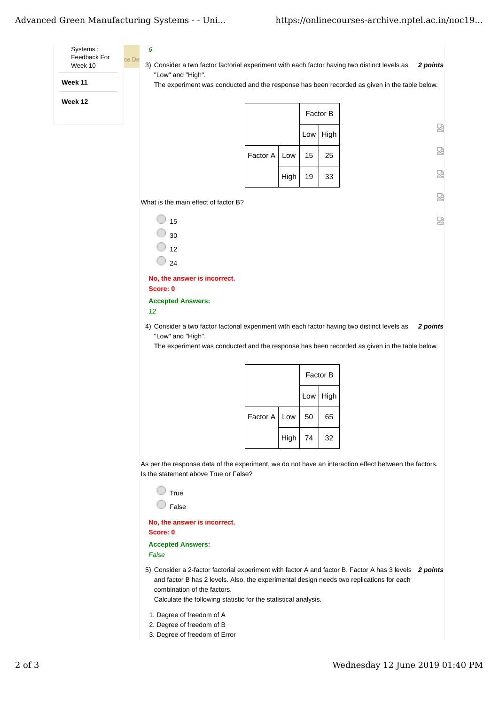## Advanced Green Manufacturing Systems - - Uni... https://onlinecourses-archive.nptel.ac.in/noc19...